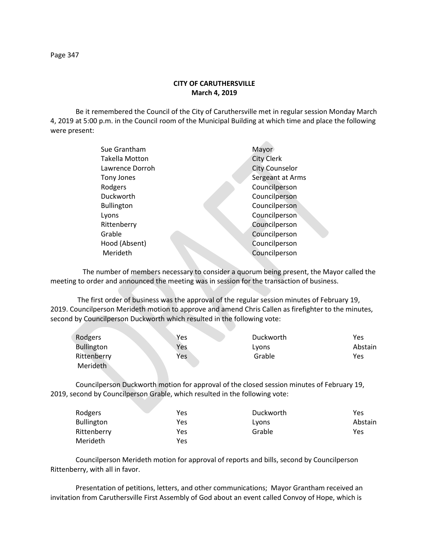## **CITY OF CARUTHERSVILLE March 4, 2019**

Be it remembered the Council of the City of Caruthersville met in regular session Monday March 4, 2019 at 5:00 p.m. in the Council room of the Municipal Building at which time and place the following were present:

| Sue Grantham      | Mayor                 |
|-------------------|-----------------------|
| Takella Motton    | <b>City Clerk</b>     |
| Lawrence Dorroh   | <b>City Counselor</b> |
| Tony Jones        | Sergeant at Arms      |
| Rodgers           | Councilperson         |
| Duckworth         | Councilperson         |
| <b>Bullington</b> | Councilperson         |
| Lyons             | Councilperson         |
| Rittenberry       | Councilperson         |
| Grable            | Councilperson         |
| Hood (Absent)     | Councilperson         |
| Merideth          | Councilperson         |
|                   |                       |

 The number of members necessary to consider a quorum being present, the Mayor called the meeting to order and announced the meeting was in session for the transaction of business.

The first order of business was the approval of the regular session minutes of February 19, 2019. Councilperson Merideth motion to approve and amend Chris Callen as firefighter to the minutes, second by Councilperson Duckworth which resulted in the following vote:

| Rodgers           | Yes | Duckworth | Yes     |
|-------------------|-----|-----------|---------|
| <b>Bullington</b> | Yes | Lyons     | Abstain |
| Rittenberry       | Yes | Grable    | Yes     |
| Merideth          |     |           |         |

Councilperson Duckworth motion for approval of the closed session minutes of February 19, 2019, second by Councilperson Grable, which resulted in the following vote:

| Rodgers           | Yes | Duckworth | Yes     |
|-------------------|-----|-----------|---------|
| <b>Bullington</b> | Yes | Lyons     | Abstain |
| Rittenberry       | Yes | Grable    | Yes     |
| Merideth          | Yes |           |         |

Councilperson Merideth motion for approval of reports and bills, second by Councilperson Rittenberry, with all in favor.

Presentation of petitions, letters, and other communications; Mayor Grantham received an invitation from Caruthersville First Assembly of God about an event called Convoy of Hope, which is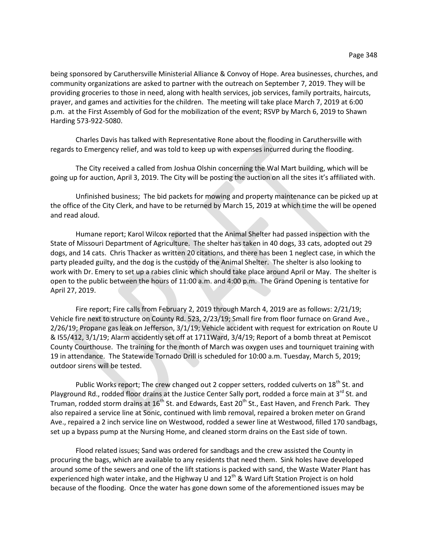being sponsored by Caruthersville Ministerial Alliance & Convoy of Hope. Area businesses, churches, and community organizations are asked to partner with the outreach on September 7, 2019. They will be providing groceries to those in need, along with health services, job services, family portraits, haircuts, prayer, and games and activities for the children. The meeting will take place March 7, 2019 at 6:00 p.m. at the First Assembly of God for the mobilization of the event; RSVP by March 6, 2019 to Shawn Harding 573-922-5080.

Charles Davis has talked with Representative Rone about the flooding in Caruthersville with regards to Emergency relief, and was told to keep up with expenses incurred during the flooding.

The City received a called from Joshua Olshin concerning the Wal Mart building, which will be going up for auction, April 3, 2019. The City will be posting the auction on all the sites it's affiliated with.

Unfinished business; The bid packets for mowing and property maintenance can be picked up at the office of the City Clerk, and have to be returned by March 15, 2019 at which time the will be opened and read aloud.

Humane report; Karol Wilcox reported that the Animal Shelter had passed inspection with the State of Missouri Department of Agriculture. The shelter has taken in 40 dogs, 33 cats, adopted out 29 dogs, and 14 cats. Chris Thacker as written 20 citations, and there has been 1 neglect case, in which the party pleaded guilty, and the dog is the custody of the Animal Shelter. The shelter is also looking to work with Dr. Emery to set up a rabies clinic which should take place around April or May. The shelter is open to the public between the hours of 11:00 a.m. and 4:00 p.m. The Grand Opening is tentative for April 27, 2019.

Fire report; Fire calls from February 2, 2019 through March 4, 2019 are as follows: 2/21/19; Vehicle fire next to structure on County Rd. 523, 2/23/19; Small fire from floor furnace on Grand Ave., 2/26/19; Propane gas leak on Jefferson, 3/1/19; Vehicle accident with request for extrication on Route U & I55/412, 3/1/19; Alarm accidently set off at 1711Ward, 3/4/19; Report of a bomb threat at Pemiscot County Courthouse. The training for the month of March was oxygen uses and tourniquet training with 19 in attendance. The Statewide Tornado Drill is scheduled for 10:00 a.m. Tuesday, March 5, 2019; outdoor sirens will be tested.

Public Works report; The crew changed out 2 copper setters, rodded culverts on 18<sup>th</sup> St. and Playground Rd., rodded floor drains at the Justice Center Sally port, rodded a force main at 3<sup>rd</sup> St. and Truman, rodded storm drains at 16<sup>th</sup> St. and Edwards, East 20<sup>th</sup> St., East Haven, and French Park. They also repaired a service line at Sonic, continued with limb removal, repaired a broken meter on Grand Ave., repaired a 2 inch service line on Westwood, rodded a sewer line at Westwood, filled 170 sandbags, set up a bypass pump at the Nursing Home, and cleaned storm drains on the East side of town.

Flood related issues; Sand was ordered for sandbags and the crew assisted the County in procuring the bags, which are available to any residents that need them. Sink holes have developed around some of the sewers and one of the lift stations is packed with sand, the Waste Water Plant has experienced high water intake, and the Highway U and 12<sup>th</sup> & Ward Lift Station Project is on hold because of the flooding. Once the water has gone down some of the aforementioned issues may be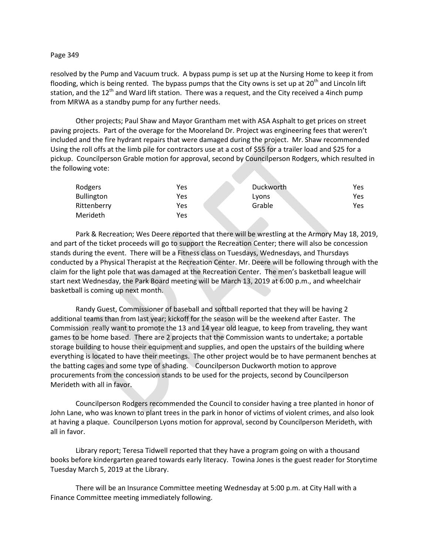## Page 349

resolved by the Pump and Vacuum truck. A bypass pump is set up at the Nursing Home to keep it from flooding, which is being rented. The bypass pumps that the City owns is set up at 20<sup>th</sup> and Lincoln lift station, and the  $12<sup>th</sup>$  and Ward lift station. There was a request, and the City received a 4inch pump from MRWA as a standby pump for any further needs.

Other projects; Paul Shaw and Mayor Grantham met with ASA Asphalt to get prices on street paving projects. Part of the overage for the Mooreland Dr. Project was engineering fees that weren't included and the fire hydrant repairs that were damaged during the project. Mr. Shaw recommended Using the roll offs at the limb pile for contractors use at a cost of \$55 for a trailer load and \$25 for a pickup. Councilperson Grable motion for approval, second by Councilperson Rodgers, which resulted in the following vote:

| Rodgers           | Yes | Duckworth | Yes        |
|-------------------|-----|-----------|------------|
| <b>Bullington</b> | Yes | Lyons     | Yes        |
| Rittenberry       | Yes | Grable    | <b>Yes</b> |
| Merideth          | Yes |           |            |

Park & Recreation; Wes Deere reported that there will be wrestling at the Armory May 18, 2019, and part of the ticket proceeds will go to support the Recreation Center; there will also be concession stands during the event. There will be a Fitness class on Tuesdays, Wednesdays, and Thursdays conducted by a Physical Therapist at the Recreation Center. Mr. Deere will be following through with the claim for the light pole that was damaged at the Recreation Center. The men's basketball league will start next Wednesday, the Park Board meeting will be March 13, 2019 at 6:00 p.m., and wheelchair basketball is coming up next month.

Randy Guest, Commissioner of baseball and softball reported that they will be having 2 additional teams than from last year; kickoff for the season will be the weekend after Easter. The Commission really want to promote the 13 and 14 year old league, to keep from traveling, they want games to be home based. There are 2 projects that the Commission wants to undertake; a portable storage building to house their equipment and supplies, and open the upstairs of the building where everything is located to have their meetings. The other project would be to have permanent benches at the batting cages and some type of shading. Councilperson Duckworth motion to approve procurements from the concession stands to be used for the projects, second by Councilperson Merideth with all in favor.

Councilperson Rodgers recommended the Council to consider having a tree planted in honor of John Lane, who was known to plant trees in the park in honor of victims of violent crimes, and also look at having a plaque. Councilperson Lyons motion for approval, second by Councilperson Merideth, with all in favor.

Library report; Teresa Tidwell reported that they have a program going on with a thousand books before kindergarten geared towards early literacy. Towina Jones is the guest reader for Storytime Tuesday March 5, 2019 at the Library.

There will be an Insurance Committee meeting Wednesday at 5:00 p.m. at City Hall with a Finance Committee meeting immediately following.